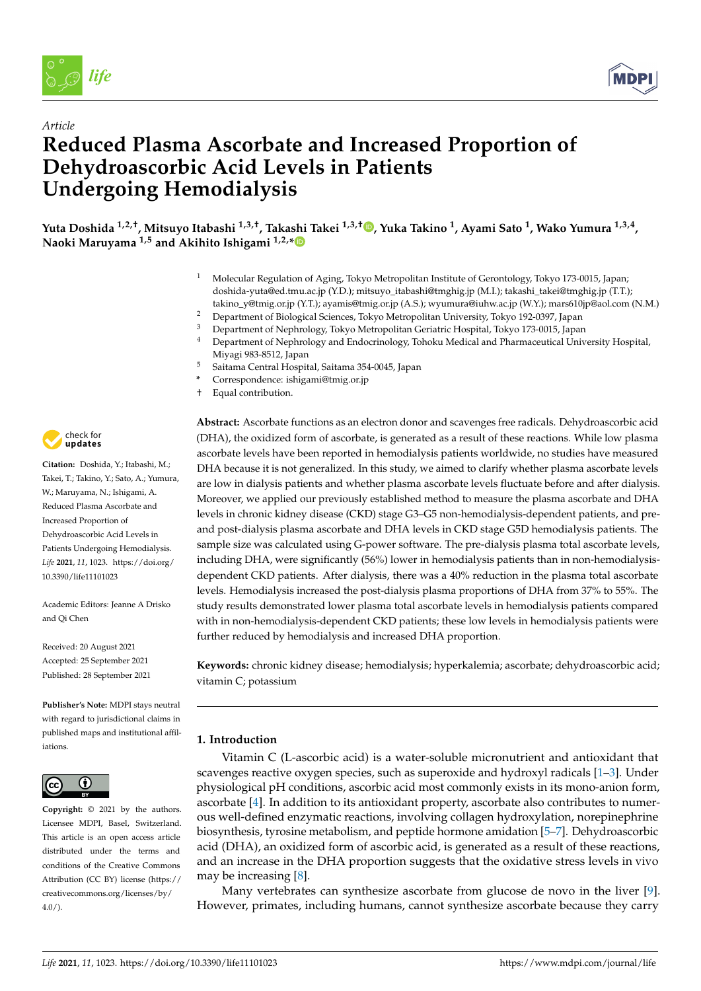

*Article*



# **Reduced Plasma Ascorbate and Increased Proportion of Dehydroascorbic Acid Levels in Patients Undergoing Hemodialysis**

**Yuta Doshida 1,2,†, Mitsuyo Itabashi 1,3,†, Takashi Takei 1,3,† [,](https://orcid.org/0000-0002-6283-8146) Yuka Takino <sup>1</sup> , Ayami Sato <sup>1</sup> , Wako Yumura 1,3,4 , Naoki Maruyama 1,5 and Akihito Ishigami 1,2,[\\*](https://orcid.org/0000-0001-7875-7482)**

- <sup>1</sup> Molecular Regulation of Aging, Tokyo Metropolitan Institute of Gerontology, Tokyo 173-0015, Japan; doshida-yuta@ed.tmu.ac.jp (Y.D.); mitsuyo\_itabashi@tmghig.jp (M.I.); takashi\_takei@tmghig.jp (T.T.); takino\_y@tmig.or.jp (Y.T.); ayamis@tmig.or.jp (A.S.); wyumura@iuhw.ac.jp (W.Y.); mars610jp@aol.com (N.M.)
- <sup>2</sup> Department of Biological Sciences, Tokyo Metropolitan University, Tokyo 192-0397, Japan
- <sup>3</sup> Department of Nephrology, Tokyo Metropolitan Geriatric Hospital, Tokyo 173-0015, Japan<br><sup>4</sup> Department of Nephrology and Endocripology, Toboku Medical and Pharmaceutical Univ
- <sup>4</sup> Department of Nephrology and Endocrinology, Tohoku Medical and Pharmaceutical University Hospital, Miyagi 983-8512, Japan
- <sup>5</sup> Saitama Central Hospital, Saitama 354-0045, Japan
- **\*** Correspondence: ishigami@tmig.or.jp
- † Equal contribution.



**Citation:** Doshida, Y.; Itabashi, M.; Takei, T.; Takino, Y.; Sato, A.; Yumura, W.; Maruyama, N.; Ishigami, A. Reduced Plasma Ascorbate and Increased Proportion of Dehydroascorbic Acid Levels in Patients Undergoing Hemodialysis. *Life* **2021**, *11*, 1023. [https://doi.org/](https://doi.org/10.3390/life11101023) [10.3390/life11101023](https://doi.org/10.3390/life11101023)

Academic Editors: Jeanne A Drisko and Qi Chen

Received: 20 August 2021 Accepted: 25 September 2021 Published: 28 September 2021

**Publisher's Note:** MDPI stays neutral with regard to jurisdictional claims in published maps and institutional affiliations.



**Copyright:** © 2021 by the authors. Licensee MDPI, Basel, Switzerland. This article is an open access article distributed under the terms and conditions of the Creative Commons Attribution (CC BY) license (https:/[/](https://creativecommons.org/licenses/by/4.0/) [creativecommons.org/licenses/by/](https://creativecommons.org/licenses/by/4.0/)  $4.0/$ ).

**Abstract:** Ascorbate functions as an electron donor and scavenges free radicals. Dehydroascorbic acid (DHA), the oxidized form of ascorbate, is generated as a result of these reactions. While low plasma ascorbate levels have been reported in hemodialysis patients worldwide, no studies have measured DHA because it is not generalized. In this study, we aimed to clarify whether plasma ascorbate levels are low in dialysis patients and whether plasma ascorbate levels fluctuate before and after dialysis. Moreover, we applied our previously established method to measure the plasma ascorbate and DHA levels in chronic kidney disease (CKD) stage G3–G5 non-hemodialysis-dependent patients, and preand post-dialysis plasma ascorbate and DHA levels in CKD stage G5D hemodialysis patients. The sample size was calculated using G-power software. The pre-dialysis plasma total ascorbate levels, including DHA, were significantly (56%) lower in hemodialysis patients than in non-hemodialysisdependent CKD patients. After dialysis, there was a 40% reduction in the plasma total ascorbate levels. Hemodialysis increased the post-dialysis plasma proportions of DHA from 37% to 55%. The study results demonstrated lower plasma total ascorbate levels in hemodialysis patients compared with in non-hemodialysis-dependent CKD patients; these low levels in hemodialysis patients were further reduced by hemodialysis and increased DHA proportion.

**Keywords:** chronic kidney disease; hemodialysis; hyperkalemia; ascorbate; dehydroascorbic acid; vitamin C; potassium

### **1. Introduction**

Vitamin C (L-ascorbic acid) is a water-soluble micronutrient and antioxidant that scavenges reactive oxygen species, such as superoxide and hydroxyl radicals  $[1-3]$  $[1-3]$ . Under physiological pH conditions, ascorbic acid most commonly exists in its mono-anion form, ascorbate [\[4\]](#page-8-2). In addition to its antioxidant property, ascorbate also contributes to numerous well-defined enzymatic reactions, involving collagen hydroxylation, norepinephrine biosynthesis, tyrosine metabolism, and peptide hormone amidation [\[5](#page-8-3)[–7\]](#page-8-4). Dehydroascorbic acid (DHA), an oxidized form of ascorbic acid, is generated as a result of these reactions, and an increase in the DHA proportion suggests that the oxidative stress levels in vivo may be increasing [\[8\]](#page-8-5).

Many vertebrates can synthesize ascorbate from glucose de novo in the liver [\[9\]](#page-8-6). However, primates, including humans, cannot synthesize ascorbate because they carry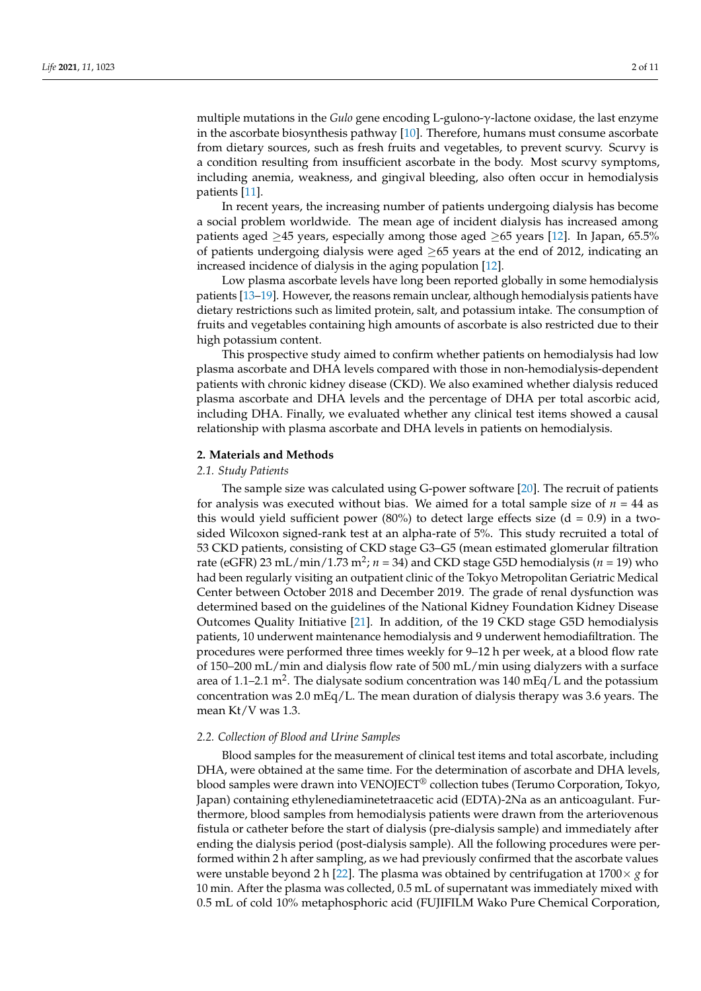multiple mutations in the *Gulo* gene encoding L-gulono-γ-lactone oxidase, the last enzyme in the ascorbate biosynthesis pathway [\[10\]](#page-8-7). Therefore, humans must consume ascorbate from dietary sources, such as fresh fruits and vegetables, to prevent scurvy. Scurvy is a condition resulting from insufficient ascorbate in the body. Most scurvy symptoms, including anemia, weakness, and gingival bleeding, also often occur in hemodialysis patients [\[11\]](#page-8-8).

In recent years, the increasing number of patients undergoing dialysis has become a social problem worldwide. The mean age of incident dialysis has increased among patients aged  $\geq$ 45 years, especially among those aged  $\geq$ 65 years [\[12\]](#page-8-9). In Japan, 65.5% of patients undergoing dialysis were aged  $\geq 65$  years at the end of 2012, indicating an increased incidence of dialysis in the aging population [\[12\]](#page-8-9).

Low plasma ascorbate levels have long been reported globally in some hemodialysis patients [\[13–](#page-8-10)[19\]](#page-9-0). However, the reasons remain unclear, although hemodialysis patients have dietary restrictions such as limited protein, salt, and potassium intake. The consumption of fruits and vegetables containing high amounts of ascorbate is also restricted due to their high potassium content.

This prospective study aimed to confirm whether patients on hemodialysis had low plasma ascorbate and DHA levels compared with those in non-hemodialysis-dependent patients with chronic kidney disease (CKD). We also examined whether dialysis reduced plasma ascorbate and DHA levels and the percentage of DHA per total ascorbic acid, including DHA. Finally, we evaluated whether any clinical test items showed a causal relationship with plasma ascorbate and DHA levels in patients on hemodialysis.

#### **2. Materials and Methods**

#### *2.1. Study Patients*

The sample size was calculated using G-power software [\[20\]](#page-9-1). The recruit of patients for analysis was executed without bias. We aimed for a total sample size of  $n = 44$  as this would yield sufficient power (80%) to detect large effects size ( $d = 0.9$ ) in a twosided Wilcoxon signed-rank test at an alpha-rate of 5%. This study recruited a total of 53 CKD patients, consisting of CKD stage G3–G5 (mean estimated glomerular filtration rate (eGFR) 23 mL/min/1.73 m<sup>2</sup> ; *n* = 34) and CKD stage G5D hemodialysis (*n* = 19) who had been regularly visiting an outpatient clinic of the Tokyo Metropolitan Geriatric Medical Center between October 2018 and December 2019. The grade of renal dysfunction was determined based on the guidelines of the National Kidney Foundation Kidney Disease Outcomes Quality Initiative [\[21\]](#page-9-2). In addition, of the 19 CKD stage G5D hemodialysis patients, 10 underwent maintenance hemodialysis and 9 underwent hemodiafiltration. The procedures were performed three times weekly for 9–12 h per week, at a blood flow rate of 150–200 mL/min and dialysis flow rate of 500 mL/min using dialyzers with a surface area of 1.1–2.1 m<sup>2</sup>. The dialysate sodium concentration was 140 mEq/L and the potassium concentration was  $2.0 \text{ mEq/L}$ . The mean duration of dialysis therapy was 3.6 years. The mean Kt/V was 1.3.

#### *2.2. Collection of Blood and Urine Samples*

Blood samples for the measurement of clinical test items and total ascorbate, including DHA, were obtained at the same time. For the determination of ascorbate and DHA levels, blood samples were drawn into VENOJECT® collection tubes (Terumo Corporation, Tokyo, Japan) containing ethylenediaminetetraacetic acid (EDTA)-2Na as an anticoagulant. Furthermore, blood samples from hemodialysis patients were drawn from the arteriovenous fistula or catheter before the start of dialysis (pre-dialysis sample) and immediately after ending the dialysis period (post-dialysis sample). All the following procedures were performed within 2 h after sampling, as we had previously confirmed that the ascorbate values were unstable beyond 2 h [\[22\]](#page-9-3). The plasma was obtained by centrifugation at  $1700 \times g$  for 10 min. After the plasma was collected, 0.5 mL of supernatant was immediately mixed with 0.5 mL of cold 10% metaphosphoric acid (FUJIFILM Wako Pure Chemical Corporation,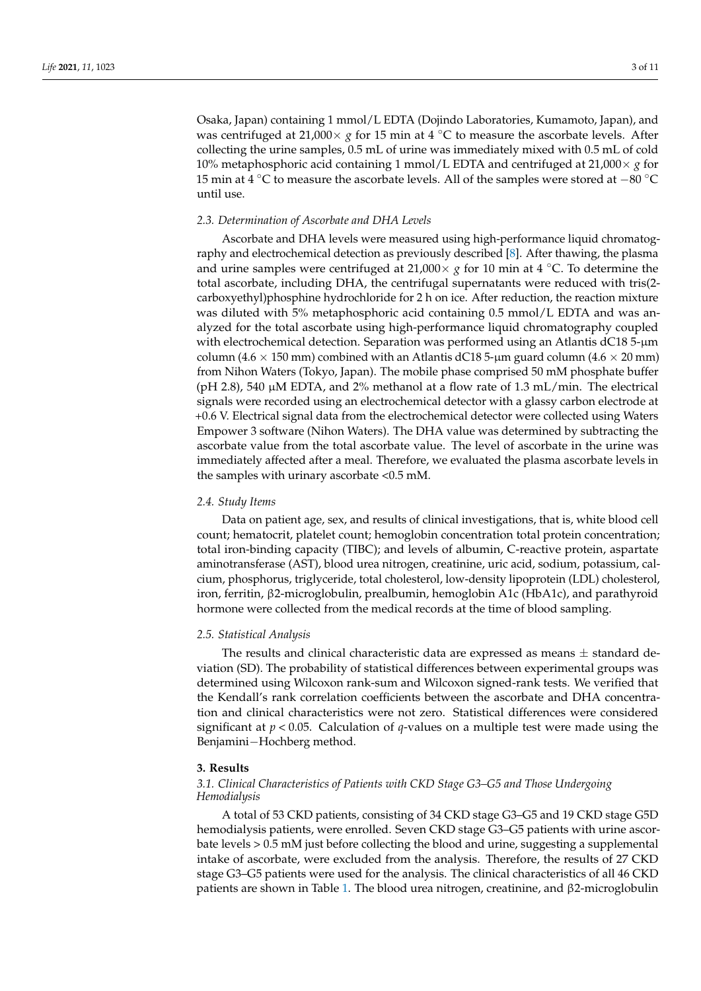Osaka, Japan) containing 1 mmol/L EDTA (Dojindo Laboratories, Kumamoto, Japan), and was centrifuged at 21,000 $\times$  *g* for 15 min at 4 °C to measure the ascorbate levels. After collecting the urine samples, 0.5 mL of urine was immediately mixed with 0.5 mL of cold 10% metaphosphoric acid containing 1 mmol/L EDTA and centrifuged at  $21,000 \times g$  for 15 min at 4 ◦C to measure the ascorbate levels. All of the samples were stored at −80 ◦C until use.

#### *2.3. Determination of Ascorbate and DHA Levels*

Ascorbate and DHA levels were measured using high-performance liquid chromatography and electrochemical detection as previously described [\[8\]](#page-8-5). After thawing, the plasma and urine samples were centrifuged at 21,000 $\times$  *g* for 10 min at 4  $\degree$ C. To determine the total ascorbate, including DHA, the centrifugal supernatants were reduced with tris(2 carboxyethyl)phosphine hydrochloride for 2 h on ice. After reduction, the reaction mixture was diluted with 5% metaphosphoric acid containing 0.5 mmol/L EDTA and was analyzed for the total ascorbate using high-performance liquid chromatography coupled with electrochemical detection. Separation was performed using an Atlantis dC18 5-µm column (4.6  $\times$  150 mm) combined with an Atlantis dC18 5-µm guard column (4.6  $\times$  20 mm) from Nihon Waters (Tokyo, Japan). The mobile phase comprised 50 mM phosphate buffer (pH 2.8), 540  $\mu$ M EDTA, and 2% methanol at a flow rate of 1.3 mL/min. The electrical signals were recorded using an electrochemical detector with a glassy carbon electrode at +0.6 V. Electrical signal data from the electrochemical detector were collected using Waters Empower 3 software (Nihon Waters). The DHA value was determined by subtracting the ascorbate value from the total ascorbate value. The level of ascorbate in the urine was immediately affected after a meal. Therefore, we evaluated the plasma ascorbate levels in the samples with urinary ascorbate <0.5 mM.

#### *2.4. Study Items*

Data on patient age, sex, and results of clinical investigations, that is, white blood cell count; hematocrit, platelet count; hemoglobin concentration total protein concentration; total iron-binding capacity (TIBC); and levels of albumin, C-reactive protein, aspartate aminotransferase (AST), blood urea nitrogen, creatinine, uric acid, sodium, potassium, calcium, phosphorus, triglyceride, total cholesterol, low-density lipoprotein (LDL) cholesterol, iron, ferritin, β2-microglobulin, prealbumin, hemoglobin A1c (HbA1c), and parathyroid hormone were collected from the medical records at the time of blood sampling.

#### *2.5. Statistical Analysis*

The results and clinical characteristic data are expressed as means  $\pm$  standard deviation (SD). The probability of statistical differences between experimental groups was determined using Wilcoxon rank-sum and Wilcoxon signed-rank tests. We verified that the Kendall's rank correlation coefficients between the ascorbate and DHA concentration and clinical characteristics were not zero. Statistical differences were considered significant at  $p < 0.05$ . Calculation of *q*-values on a multiple test were made using the Benjamini−Hochberg method.

#### **3. Results**

#### *3.1. Clinical Characteristics of Patients with CKD Stage G3–G5 and Those Undergoing Hemodialysis*

A total of 53 CKD patients, consisting of 34 CKD stage G3–G5 and 19 CKD stage G5D hemodialysis patients, were enrolled. Seven CKD stage G3–G5 patients with urine ascorbate levels > 0.5 mM just before collecting the blood and urine, suggesting a supplemental intake of ascorbate, were excluded from the analysis. Therefore, the results of 27 CKD stage G3–G5 patients were used for the analysis. The clinical characteristics of all 46 CKD patients are shown in Table [1.](#page-3-0) The blood urea nitrogen, creatinine, and β2-microglobulin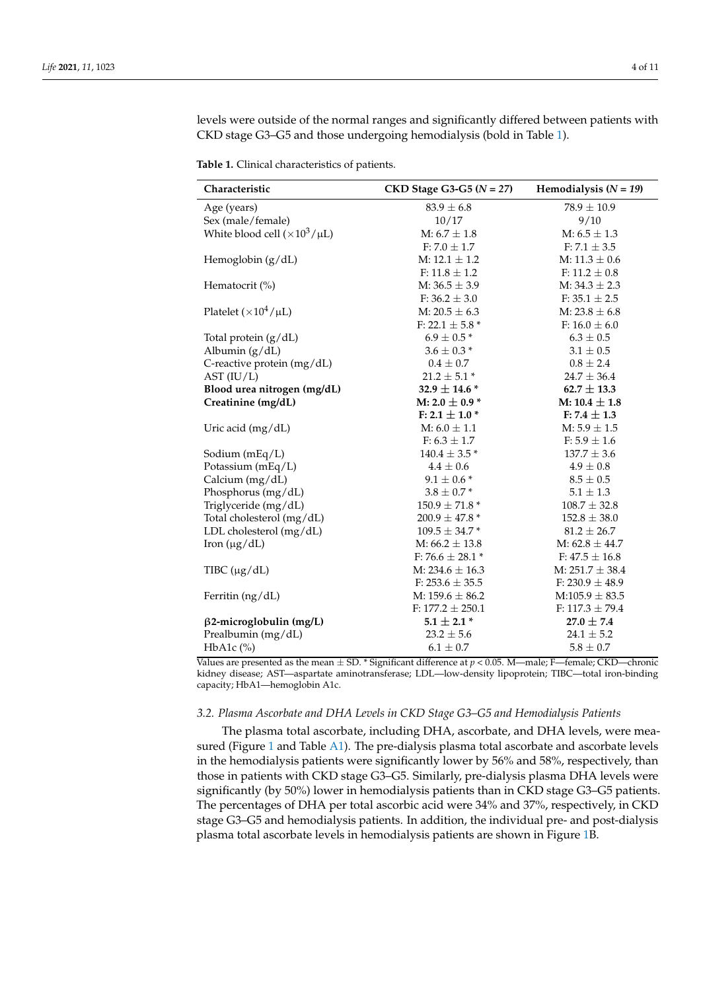levels were outside of the normal ranges and significantly differed between patients with CKD stage G3–G5 and those undergoing hemodialysis (bold in Table [1\)](#page-3-0).

<span id="page-3-0"></span>**Table 1.** Clinical characteristics of patients.

| Characteristic                         | $CKD$ Stage G3-G5 ( $N = 27$ ) | Hemodialysis $(N = 19)$ |
|----------------------------------------|--------------------------------|-------------------------|
| Age (years)                            | $83.9 \pm 6.8$                 | $78.9 \pm 10.9$         |
| Sex (male/female)                      | 10/17                          | 9/10                    |
| White blood cell $(\times 10^3/\mu L)$ | $M: 6.7 \pm 1.8$               | $M: 6.5 \pm 1.3$        |
|                                        | $F: 7.0 \pm 1.7$               | $F: 7.1 \pm 3.5$        |
| Hemoglobin $(g/dL)$                    | $M: 12.1 \pm 1.2$              | $M: 11.3 \pm 0.6$       |
|                                        | F: $11.8 \pm 1.2$              | F: $11.2 \pm 0.8$       |
| Hematocrit (%)                         | M: $36.5 \pm 3.9$              | $M: 34.3 \pm 2.3$       |
|                                        | $F: 36.2 \pm 3.0$              | $F: 35.1 \pm 2.5$       |
| Platelet $(\times 10^4/\mu L)$         | M: $20.5 \pm 6.3$              | M: $23.8 \pm 6.8$       |
|                                        | F: 22.1 $\pm$ 5.8 $^*$         | F: $16.0 \pm 6.0$       |
| Total protein (g/dL)                   | $6.9\pm0.5$ *                  | $6.3 \pm 0.5$           |
| Albumin (g/dL)                         | $3.6\pm0.3$ *                  | $3.1 \pm 0.5$           |
| C-reactive protein (mg/dL)             | $0.4 \pm 0.7$                  | $0.8 \pm 2.4$           |
| AST (IU/L)                             | $21.2 \pm 5.1*$                | $24.7 \pm 36.4$         |
| Blood urea nitrogen (mg/dL)            | 32.9 $\pm$ 14.6 $^*$           | $62.7 \pm 13.3$         |
| Creatinine (mg/dL)                     | M: 2.0 $\pm$ 0.9 $^{*}$        | M: $10.4 \pm 1.8$       |
|                                        | F: 2.1 $\pm$ 1.0 $^{*}$        | $F: 7.4 \pm 1.3$        |
| Uric acid (mg/dL)                      | $M: 6.0 \pm 1.1$               | $M: 5.9 \pm 1.5$        |
|                                        | $F: 6.3 \pm 1.7$               | $F: 5.9 \pm 1.6$        |
| Sodium (mEq/L)                         | $140.4 \pm 3.5$ *              | $137.7 \pm 3.6$         |
| Potassium (mEq/L)                      | $4.4 \pm 0.6$                  | $4.9 \pm 0.8$           |
| Calcium (mg/dL)                        | $9.1 \pm 0.6*$                 | $8.5 \pm 0.5$           |
| Phosphorus (mg/dL)                     | $3.8 \pm 0.7*$                 | $5.1 \pm 1.3$           |
| Triglyceride (mg/dL)                   | $150.9 \pm 71.8$ *             | $108.7 \pm 32.8$        |
| Total cholesterol (mg/dL)              | $200.9 \pm 47.8$ *             | $152.8 \pm 38.0$        |
| LDL cholesterol (mg/dL)                | $109.5 \pm 34.7$ *             | $81.2 \pm 26.7$         |
| Iron $(\mu g/dL)$                      | M: $66.2 \pm 13.8$             | M: $62.8 \pm 44.7$      |
|                                        | F: 76.6 $\pm$ 28.1 $*$         | $F: 47.5 \pm 16.8$      |
| TIBC $(\mu g/dL)$                      | M: $234.6 \pm 16.3$            | M: $251.7 \pm 38.4$     |
|                                        | F: $253.6 \pm 35.5$            | F: 230.9 $\pm$ 48.9     |
| Ferritin (ng/dL)                       | M: $159.6 \pm 86.2$            | $M:105.9 \pm 83.5$      |
|                                        | F: $177.2 \pm 250.1$           | F: $117.3 \pm 79.4$     |
| $\beta$ 2-microglobulin (mg/L)         | $5.1 \pm 2.1$ *                | $27.0 \pm 7.4$          |
| Prealbumin (mg/dL)                     | $23.2 \pm 5.6$                 | $24.1 \pm 5.2$          |
| $HbA1c$ (%)                            | $6.1 \pm 0.7$                  | $5.8 \pm 0.7$           |

Values are presented as the mean ± SD. \* Significant difference at *p* < 0.05. M—male; F—female; CKD—chronic kidney disease; AST—aspartate aminotransferase; LDL—low-density lipoprotein; TIBC—total iron-binding capacity; HbA1—hemoglobin A1c.

#### *3.2. Plasma Ascorbate and DHA Levels in CKD Stage G3–G5 and Hemodialysis Patients*

The plasma total ascorbate, including DHA, ascorbate, and DHA levels, were mea-sured (Figure [1](#page-4-0) and Table [A1\)](#page-7-0). The pre-dialysis plasma total ascorbate and ascorbate levels in the hemodialysis patients were significantly lower by 56% and 58%, respectively, than those in patients with CKD stage G3–G5. Similarly, pre-dialysis plasma DHA levels were significantly (by 50%) lower in hemodialysis patients than in CKD stage G3–G5 patients. The percentages of DHA per total ascorbic acid were 34% and 37%, respectively, in CKD stage G3–G5 and hemodialysis patients. In addition, the individual pre- and post-dialysis plasma total ascorbate levels in hemodialysis patients are shown in Figure [1B](#page-4-0).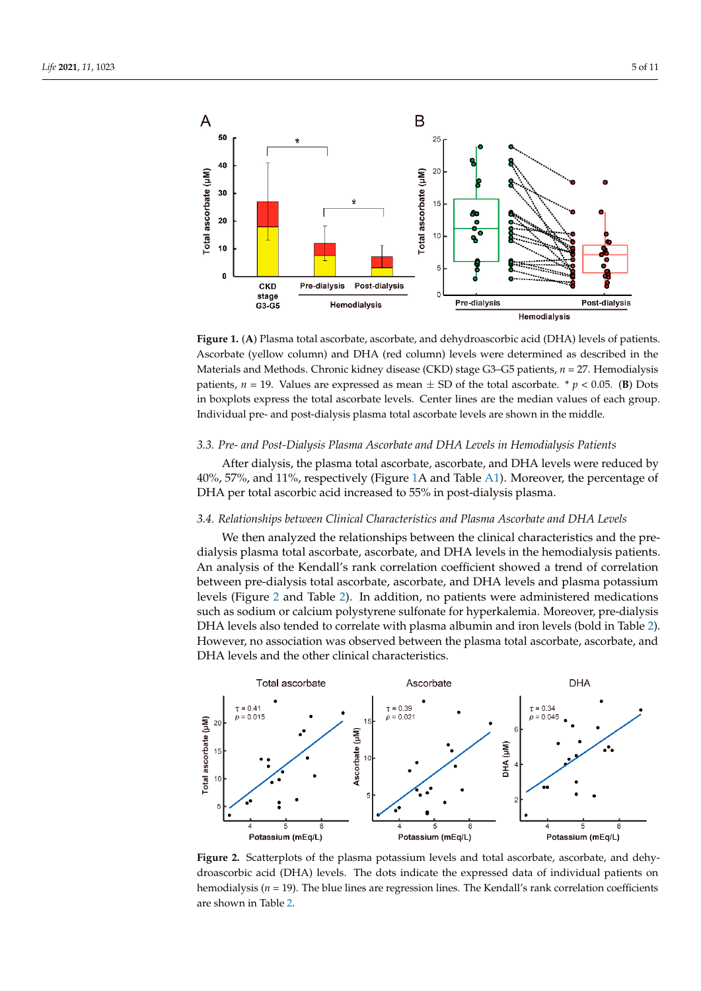<span id="page-4-0"></span>

Figure 1. (A) Plasma total ascorbate, ascorbate, and dehydroascorbic acid (DHA) levels of patients. Ascorbate (yellow column) and DHA (red column) levels were determined as described in the Materials and Methods. Chronic kidney disease (CKD) stage G3-G5 patients, *n* = 27. Hemodialysis patients,  $n = 19$ . Values are expressed as mean  $\pm$  SD of the total ascorbate. \*  $p < 0.05$ . (B) Dots express the total ascorbate levels. Center lines are the median values of each group. in boxplots express the total ascorbate levels. Center lines are the median values of each group.<br>In both in the middle of the middle of the middle of the middle of the middle of the middle of the middle of the middle of t Individual pre- and post-dialysis plasma total ascorbate levels are shown in the middle.

#### *3.3. Pre- and Post-Dialysis Plasma Ascorbate and DHA Levels in Hemodialysis Patients*  After dialysis, the plasma total ascorbate, ascorbate, and DHA levels were reduced *3.3. Pre- and Post-Dialysis Plasma Ascorbate and DHA Levels in Hemodialysis Patients*

After dialysis, the plasma total ascorbate, ascorbate, and DHA levels were reduced by 40%, 57%, and 11%, respectively (Figure [1A](#page-4-0) and Table [A1\)](#page-7-0). Moreover, the percentage of DHA per total ascorbic acid increased to 55% in post-dialysis plasma.

## *3.4. Relationships between Clinical Characteristics and Plasma Ascorbate and DHA Levels 3.4. Relationships between Clinical Characteristics and Plasma Ascorbate and DHA Levels*

We then analyzed the relationships between the clinical characteristics and the pre-We then analyzed the relationships between the clinical characteristics and the predialysis plasma total ascorbate, ascorbate, and DHA levels in the hemodialysis patients. dialysis plasma total ascorbate, ascorbate, and DHA levels in the hemodialysis patients. An analysis of the Kendall's rank correlation coefficient showed a trend of correlation between pre-dialysis total ascorbate, ascorbate, and DHA levels and plasma potassium levels (Figure [2](#page-4-1) and Table [2\)](#page-5-0). In addition, no patients were administered medications such as sodium or calcium polystyrene sulfonate for hyperkalemia. Moreover, pre-dialysis DHA levels also tended to correlate with plasma albumin and iron levels (bold in Table [2\)](#page-5-0). However, no association was observed between the plasma total ascorbate, ascorbate, and DHA levels and the other clinical characteristics. DHA levels and the other clinical characteristics.

<span id="page-4-1"></span>

**Figure 2.** Scatterplots of the plasma potassium levels and total ascorbate, ascorbate, and dehy-**Figure 2.** Scatterplots of the plasma potassium levels and total ascorbate, ascorbate, and dehydroascorbic acid (DHA) levels. The dots indicate the expressed data of individual patients on hemodialysis (*n* = 19). The blue lines are regression lines. The Kendall's rank correlation coefficients are shown in Table 2. are shown in Table [2.](#page-5-0)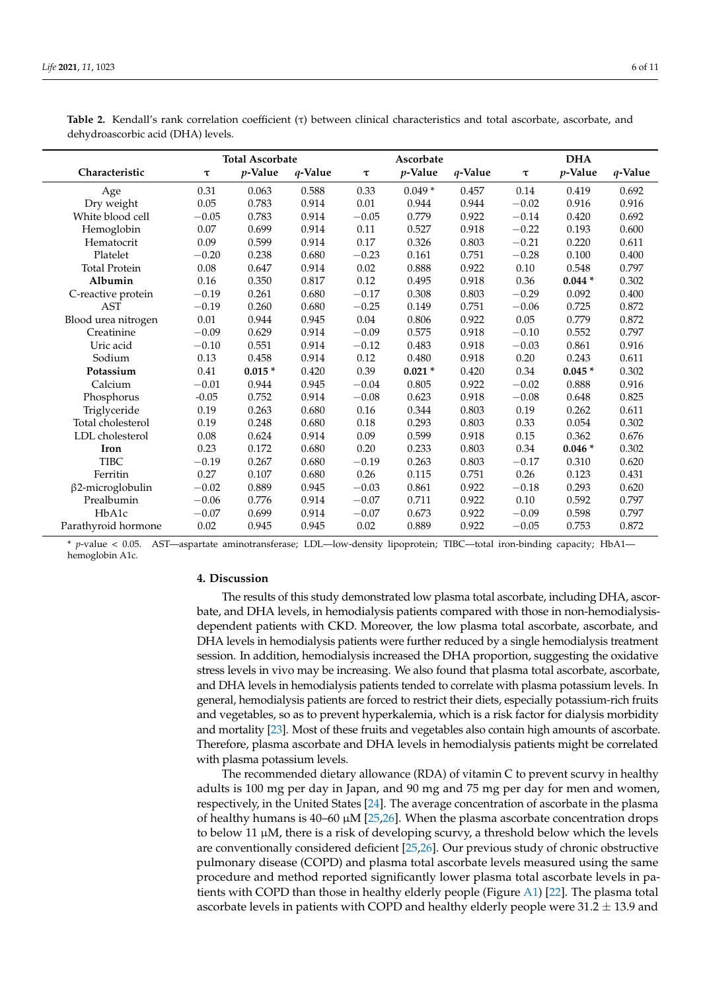|                         |         | <b>Total Ascorbate</b> |         |         | Ascorbate  |         |         | <b>DHA</b> |         |
|-------------------------|---------|------------------------|---------|---------|------------|---------|---------|------------|---------|
| Characteristic          | $\tau$  | $p$ -Value             | q-Value | τ       | $p$ -Value | q-Value | τ       | $p$ -Value | q-Value |
| Age                     | 0.31    | 0.063                  | 0.588   | 0.33    | $0.049*$   | 0.457   | 0.14    | 0.419      | 0.692   |
| Dry weight              | 0.05    | 0.783                  | 0.914   | 0.01    | 0.944      | 0.944   | $-0.02$ | 0.916      | 0.916   |
| White blood cell        | $-0.05$ | 0.783                  | 0.914   | $-0.05$ | 0.779      | 0.922   | $-0.14$ | 0.420      | 0.692   |
| Hemoglobin              | 0.07    | 0.699                  | 0.914   | 0.11    | 0.527      | 0.918   | $-0.22$ | 0.193      | 0.600   |
| Hematocrit              | 0.09    | 0.599                  | 0.914   | 0.17    | 0.326      | 0.803   | $-0.21$ | 0.220      | 0.611   |
| Platelet                | $-0.20$ | 0.238                  | 0.680   | $-0.23$ | 0.161      | 0.751   | $-0.28$ | 0.100      | 0.400   |
| <b>Total Protein</b>    | 0.08    | 0.647                  | 0.914   | 0.02    | 0.888      | 0.922   | 0.10    | 0.548      | 0.797   |
| Albumin                 | 0.16    | 0.350                  | 0.817   | 0.12    | 0.495      | 0.918   | 0.36    | $0.044*$   | 0.302   |
| C-reactive protein      | $-0.19$ | 0.261                  | 0.680   | $-0.17$ | 0.308      | 0.803   | $-0.29$ | 0.092      | 0.400   |
| <b>AST</b>              | $-0.19$ | 0.260                  | 0.680   | $-0.25$ | 0.149      | 0.751   | $-0.06$ | 0.725      | 0.872   |
| Blood urea nitrogen     | 0.01    | 0.944                  | 0.945   | 0.04    | 0.806      | 0.922   | 0.05    | 0.779      | 0.872   |
| Creatinine              | $-0.09$ | 0.629                  | 0.914   | $-0.09$ | 0.575      | 0.918   | $-0.10$ | 0.552      | 0.797   |
| Uric acid               | $-0.10$ | 0.551                  | 0.914   | $-0.12$ | 0.483      | 0.918   | $-0.03$ | 0.861      | 0.916   |
| Sodium                  | 0.13    | 0.458                  | 0.914   | 0.12    | 0.480      | 0.918   | 0.20    | 0.243      | 0.611   |
| Potassium               | 0.41    | $0.015*$               | 0.420   | 0.39    | $0.021*$   | 0.420   | 0.34    | $0.045*$   | 0.302   |
| Calcium                 | $-0.01$ | 0.944                  | 0.945   | $-0.04$ | 0.805      | 0.922   | $-0.02$ | 0.888      | 0.916   |
| Phosphorus              | $-0.05$ | 0.752                  | 0.914   | $-0.08$ | 0.623      | 0.918   | $-0.08$ | 0.648      | 0.825   |
| Triglyceride            | 0.19    | 0.263                  | 0.680   | 0.16    | 0.344      | 0.803   | 0.19    | 0.262      | 0.611   |
| Total cholesterol       | 0.19    | 0.248                  | 0.680   | 0.18    | 0.293      | 0.803   | 0.33    | 0.054      | 0.302   |
| LDL cholesterol         | 0.08    | 0.624                  | 0.914   | 0.09    | 0.599      | 0.918   | 0.15    | 0.362      | 0.676   |
| Iron                    | 0.23    | 0.172                  | 0.680   | 0.20    | 0.233      | 0.803   | 0.34    | $0.046*$   | 0.302   |
| <b>TIBC</b>             | $-0.19$ | 0.267                  | 0.680   | $-0.19$ | 0.263      | 0.803   | $-0.17$ | 0.310      | 0.620   |
| Ferritin                | 0.27    | 0.107                  | 0.680   | 0.26    | 0.115      | 0.751   | 0.26    | 0.123      | 0.431   |
| $\beta$ 2-microglobulin | $-0.02$ | 0.889                  | 0.945   | $-0.03$ | 0.861      | 0.922   | $-0.18$ | 0.293      | 0.620   |
| Prealbumin              | $-0.06$ | 0.776                  | 0.914   | $-0.07$ | 0.711      | 0.922   | 0.10    | 0.592      | 0.797   |
| HbA1c                   | $-0.07$ | 0.699                  | 0.914   | $-0.07$ | 0.673      | 0.922   | $-0.09$ | 0.598      | 0.797   |
| Parathyroid hormone     | 0.02    | 0.945                  | 0.945   | 0.02    | 0.889      | 0.922   | $-0.05$ | 0.753      | 0.872   |

<span id="page-5-0"></span>**Table 2.** Kendall's rank correlation coefficient (τ) between clinical characteristics and total ascorbate, ascorbate, and dehydroascorbic acid (DHA) levels.

\* *p*-value < 0.05. AST—aspartate aminotransferase; LDL—low-density lipoprotein; TIBC—total iron-binding capacity; HbA1 hemoglobin A1c.

#### **4. Discussion**

The results of this study demonstrated low plasma total ascorbate, including DHA, ascorbate, and DHA levels, in hemodialysis patients compared with those in non-hemodialysisdependent patients with CKD. Moreover, the low plasma total ascorbate, ascorbate, and DHA levels in hemodialysis patients were further reduced by a single hemodialysis treatment session. In addition, hemodialysis increased the DHA proportion, suggesting the oxidative stress levels in vivo may be increasing. We also found that plasma total ascorbate, ascorbate, and DHA levels in hemodialysis patients tended to correlate with plasma potassium levels. In general, hemodialysis patients are forced to restrict their diets, especially potassium-rich fruits and vegetables, so as to prevent hyperkalemia, which is a risk factor for dialysis morbidity and mortality [\[23\]](#page-9-4). Most of these fruits and vegetables also contain high amounts of ascorbate. Therefore, plasma ascorbate and DHA levels in hemodialysis patients might be correlated with plasma potassium levels.

The recommended dietary allowance (RDA) of vitamin C to prevent scurvy in healthy adults is 100 mg per day in Japan, and 90 mg and 75 mg per day for men and women, respectively, in the United States [\[24\]](#page-9-5). The average concentration of ascorbate in the plasma of healthy humans is  $40-60 \mu M$  [\[25,](#page-9-6)[26\]](#page-9-7). When the plasma ascorbate concentration drops to below 11  $\mu$ M, there is a risk of developing scurvy, a threshold below which the levels are conventionally considered deficient [\[25,](#page-9-6)[26\]](#page-9-7). Our previous study of chronic obstructive pulmonary disease (COPD) and plasma total ascorbate levels measured using the same procedure and method reported significantly lower plasma total ascorbate levels in patients with COPD than those in healthy elderly people (Figure [A1\)](#page-8-11) [\[22\]](#page-9-3). The plasma total ascorbate levels in patients with COPD and healthy elderly people were  $31.2 \pm 13.9$  and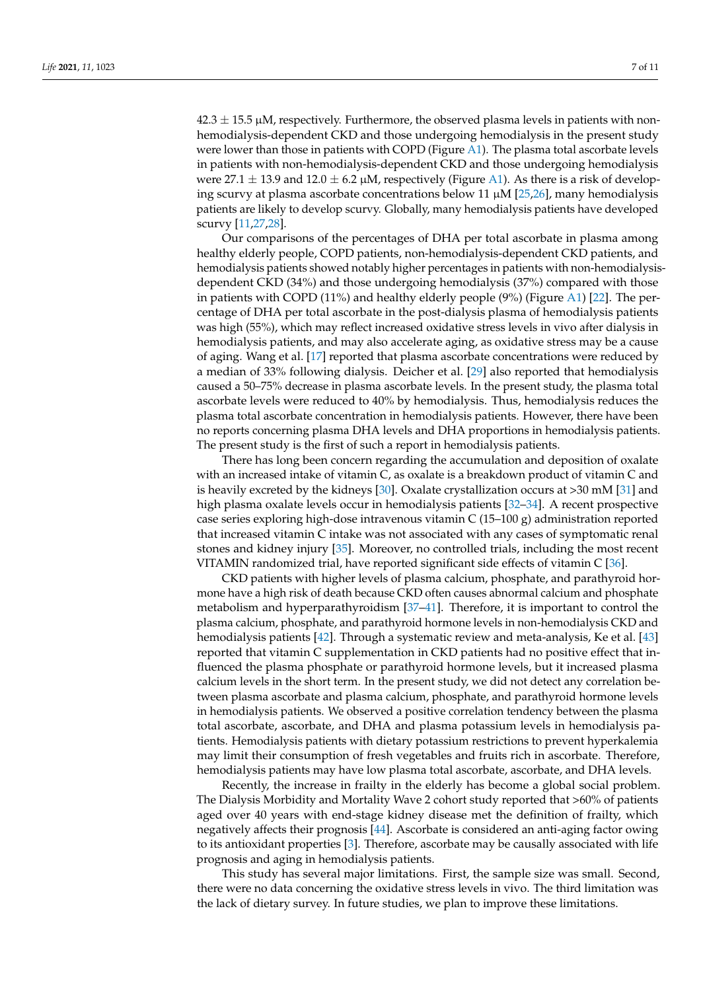$42.3 \pm 15.5$   $\mu$ M, respectively. Furthermore, the observed plasma levels in patients with nonhemodialysis-dependent CKD and those undergoing hemodialysis in the present study were lower than those in patients with COPD (Figure [A1\)](#page-8-11). The plasma total ascorbate levels in patients with non-hemodialysis-dependent CKD and those undergoing hemodialysis were 27.1  $\pm$  13.9 and 12.0  $\pm$  6.2  $\mu$ M, respectively (Figure [A1\)](#page-8-11). As there is a risk of developing scurvy at plasma ascorbate concentrations below 11  $\mu$ M [\[25](#page-9-6)[,26\]](#page-9-7), many hemodialysis patients are likely to develop scurvy. Globally, many hemodialysis patients have developed scurvy [\[11](#page-8-8)[,27](#page-9-8)[,28\]](#page-9-9).

Our comparisons of the percentages of DHA per total ascorbate in plasma among healthy elderly people, COPD patients, non-hemodialysis-dependent CKD patients, and hemodialysis patients showed notably higher percentages in patients with non-hemodialysisdependent CKD (34%) and those undergoing hemodialysis (37%) compared with those in patients with COPD (11%) and healthy elderly people (9%) (Figure [A1\)](#page-8-11) [\[22\]](#page-9-3). The percentage of DHA per total ascorbate in the post-dialysis plasma of hemodialysis patients was high (55%), which may reflect increased oxidative stress levels in vivo after dialysis in hemodialysis patients, and may also accelerate aging, as oxidative stress may be a cause of aging. Wang et al. [\[17\]](#page-9-10) reported that plasma ascorbate concentrations were reduced by a median of 33% following dialysis. Deicher et al. [\[29\]](#page-9-11) also reported that hemodialysis caused a 50–75% decrease in plasma ascorbate levels. In the present study, the plasma total ascorbate levels were reduced to 40% by hemodialysis. Thus, hemodialysis reduces the plasma total ascorbate concentration in hemodialysis patients. However, there have been no reports concerning plasma DHA levels and DHA proportions in hemodialysis patients. The present study is the first of such a report in hemodialysis patients.

There has long been concern regarding the accumulation and deposition of oxalate with an increased intake of vitamin C, as oxalate is a breakdown product of vitamin C and is heavily excreted by the kidneys [\[30\]](#page-9-12). Oxalate crystallization occurs at >30 mM [\[31\]](#page-9-13) and high plasma oxalate levels occur in hemodialysis patients [\[32–](#page-9-14)[34\]](#page-9-15). A recent prospective case series exploring high-dose intravenous vitamin C (15–100 g) administration reported that increased vitamin C intake was not associated with any cases of symptomatic renal stones and kidney injury [\[35\]](#page-9-16). Moreover, no controlled trials, including the most recent VITAMIN randomized trial, have reported significant side effects of vitamin C [\[36\]](#page-9-17).

CKD patients with higher levels of plasma calcium, phosphate, and parathyroid hormone have a high risk of death because CKD often causes abnormal calcium and phosphate metabolism and hyperparathyroidism [\[37](#page-9-18)[–41\]](#page-10-0). Therefore, it is important to control the plasma calcium, phosphate, and parathyroid hormone levels in non-hemodialysis CKD and hemodialysis patients [\[42\]](#page-10-1). Through a systematic review and meta-analysis, Ke et al. [\[43\]](#page-10-2) reported that vitamin C supplementation in CKD patients had no positive effect that influenced the plasma phosphate or parathyroid hormone levels, but it increased plasma calcium levels in the short term. In the present study, we did not detect any correlation between plasma ascorbate and plasma calcium, phosphate, and parathyroid hormone levels in hemodialysis patients. We observed a positive correlation tendency between the plasma total ascorbate, ascorbate, and DHA and plasma potassium levels in hemodialysis patients. Hemodialysis patients with dietary potassium restrictions to prevent hyperkalemia may limit their consumption of fresh vegetables and fruits rich in ascorbate. Therefore, hemodialysis patients may have low plasma total ascorbate, ascorbate, and DHA levels.

Recently, the increase in frailty in the elderly has become a global social problem. The Dialysis Morbidity and Mortality Wave 2 cohort study reported that >60% of patients aged over 40 years with end-stage kidney disease met the definition of frailty, which negatively affects their prognosis [\[44\]](#page-10-3). Ascorbate is considered an anti-aging factor owing to its antioxidant properties [\[3\]](#page-8-1). Therefore, ascorbate may be causally associated with life prognosis and aging in hemodialysis patients.

This study has several major limitations. First, the sample size was small. Second, there were no data concerning the oxidative stress levels in vivo. The third limitation was the lack of dietary survey. In future studies, we plan to improve these limitations.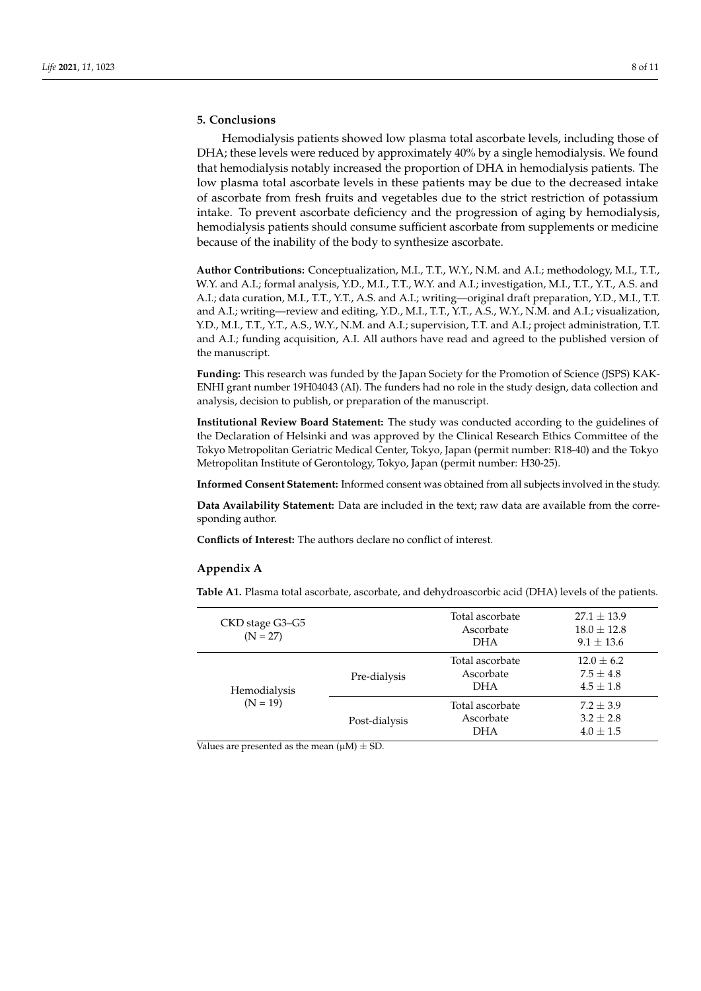#### **5. Conclusions**

Hemodialysis patients showed low plasma total ascorbate levels, including those of DHA; these levels were reduced by approximately 40% by a single hemodialysis. We found that hemodialysis notably increased the proportion of DHA in hemodialysis patients. The low plasma total ascorbate levels in these patients may be due to the decreased intake of ascorbate from fresh fruits and vegetables due to the strict restriction of potassium intake. To prevent ascorbate deficiency and the progression of aging by hemodialysis, hemodialysis patients should consume sufficient ascorbate from supplements or medicine because of the inability of the body to synthesize ascorbate.

**Author Contributions:** Conceptualization, M.I., T.T., W.Y., N.M. and A.I.; methodology, M.I., T.T., W.Y. and A.I.; formal analysis, Y.D., M.I., T.T., W.Y. and A.I.; investigation, M.I., T.T., Y.T., A.S. and A.I.; data curation, M.I., T.T., Y.T., A.S. and A.I.; writing—original draft preparation, Y.D., M.I., T.T. and A.I.; writing—review and editing, Y.D., M.I., T.T., Y.T., A.S., W.Y., N.M. and A.I.; visualization, Y.D., M.I., T.T., Y.T., A.S., W.Y., N.M. and A.I.; supervision, T.T. and A.I.; project administration, T.T. and A.I.; funding acquisition, A.I. All authors have read and agreed to the published version of the manuscript.

**Funding:** This research was funded by the Japan Society for the Promotion of Science (JSPS) KAK-ENHI grant number 19H04043 (AI). The funders had no role in the study design, data collection and analysis, decision to publish, or preparation of the manuscript.

**Institutional Review Board Statement:** The study was conducted according to the guidelines of the Declaration of Helsinki and was approved by the Clinical Research Ethics Committee of the Tokyo Metropolitan Geriatric Medical Center, Tokyo, Japan (permit number: R18-40) and the Tokyo Metropolitan Institute of Gerontology, Tokyo, Japan (permit number: H30-25).

**Informed Consent Statement:** Informed consent was obtained from all subjects involved in the study.

**Data Availability Statement:** Data are included in the text; raw data are available from the corresponding author.

**Conflicts of Interest:** The authors declare no conflict of interest.

#### **Appendix A**

<span id="page-7-0"></span>**Table A1.** Plasma total ascorbate, ascorbate, and dehydroascorbic acid (DHA) levels of the patients.

| CKD stage G3–G5<br>$(N = 27)$ |               | Total ascorbate<br>Ascorbate<br><b>DHA</b> | $27.1 \pm 13.9$<br>$18.0 \pm 12.8$<br>$9.1 \pm 13.6$ |
|-------------------------------|---------------|--------------------------------------------|------------------------------------------------------|
| Hemodialysis<br>$(N = 19)$    | Pre-dialysis  | Total ascorbate<br>Ascorbate<br><b>DHA</b> | $12.0 \pm 6.2$<br>$7.5 \pm 4.8$<br>$4.5 \pm 1.8$     |
|                               | Post-dialysis | Total ascorbate<br>Ascorbate<br><b>DHA</b> | $7.2 \pm 3.9$<br>$3.2 + 2.8$<br>$4.0 \pm 1.5$        |

Values are presented as the mean  $(\mu M) \pm SD$ .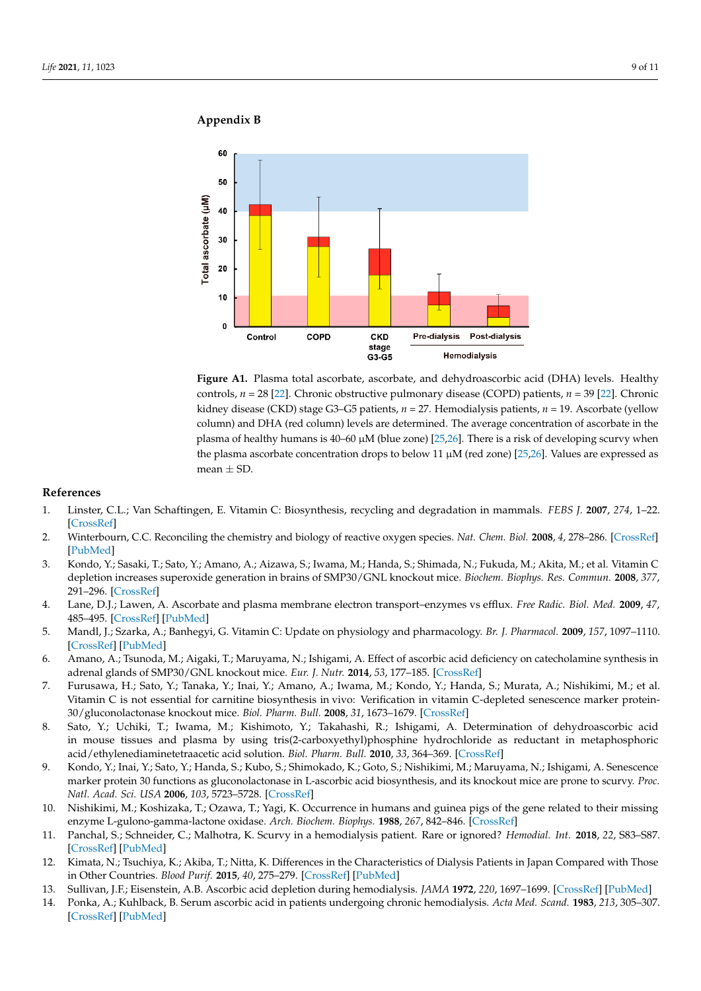DHA 4.0 ± 1.5

## **Appendix B Appendix B**

<span id="page-8-11"></span>

**Figure A1.** Plasma total ascorbate, ascorbate, and dehydroascorbic acid (DHA) levels. Healthy con-**Figure A1.** Plasma total ascorbate, ascorbate, and dehydroascorbic acid (DHA) levels. Healthy controls, *n* = 28 [2[2\]. C](#page-9-3)hronic obstructive pulmonary disease (COPD) patients, *n* = 39 [[22\]](#page-9-3). Chronic kidney disease (CKD) stage G3-G5 patients,  $n = 27$ . Hemodialysis patients,  $n = 19$ . Ascorbate (yellow column) and DHA (red column) levels are determined. The average concentration of ascorbate in the plasma of healthy humans is 40–60 μM (blue zone) [\[25](#page-9-6)[,26\]](#page-9-7). There is a risk of developing scurvy when the plasma ascorbate concentration drops to below 11  $\mu$ M (red zone) [\[25,](#page-9-6)[26\]](#page-9-7). Values are expressed as  $mean \pm SD$ .

#### **References References**

- <span id="page-8-0"></span>1. Linster, C.L.; Van Schaftingen, E. Vitamin C: Biosynthesis, recycling and degradation in mammals. FEBS J. 2007, 274, 1–22. [\[CrossRef\]](http://doi.org/10.1111/j.1742-4658.2006.05607.x)
- 2. Winterbourn, C.C. Reconciling the chemistry and biology of reactive oxygen species. *Nat. Chem. Biol. 2008, 4,* 278–286. [CrossRef] [\[PubMed\]](http://www.ncbi.nlm.nih.gov/pubmed/18421291)
- <span id="page-8-1"></span>3. Kondo, Y.; Sasaki, T.; Sato, Y.; Amano, A.; Aizawa, S.; Iwama, M.; Handa, S.; Shimada, N.; Fukuda, M.; Akita, M.; et al. Vitamin C depletion increases superoxide generation in brains of SMP30/GNL knockout mice. Biochem. Biophys. Res. Commun. 2008, 377, 291–296. [\[CrossRef\]](http://doi.org/10.1016/j.bbrc.2008.09.132)
- <span id="page-8-2"></span>4. Lane, D.J.; Lawen, A. Ascorbate and plasma membrane electron transport–enzymes vs efflux. *Free Radic. Biol. Med.* 2009, 47, 485–495. [\[CrossRef\]](http://doi.org/10.1016/j.freeradbiomed.2009.06.003) [\[PubMed\]](http://www.ncbi.nlm.nih.gov/pubmed/19501649)
- <span id="page-8-3"></span>5. Mandl, J.; Szarka, A.; Banhegyi, G. Vitamin C: Update on physiology and pharmacology. *Br. J. Pharmacol.* 2009, 157, 1097–1110. [\[CrossRef\]](http://doi.org/10.1111/j.1476-5381.2009.00282.x) [\[PubMed\]](http://www.ncbi.nlm.nih.gov/pubmed/19508394)
- 6. Amano, A.; Tsunoda, M.; Aigaki, T.; Maruyama, N.; Ishigami, A. Effect of ascorbic acid deficiency on catecholamine synthesis in adrenal glands of SMP30/GNL knockout mice. *Eur. J. Nutr.* **2014**, *53*, 177–185. [\[CrossRef\]](http://doi.org/10.1007/s00394-013-0515-9)
- <span id="page-8-4"></span>7. Furusawa, H.; Sato, Y.; Tanaka, Y.; Inai, Y.; Amano, A.; Iwama, M.; Kondo, Y.; Handa, S.; Murata, A.; Nishikimi, M.; et al. Vitamin C is not essential for carnitine biosynthesis in vivo: Verification in vitamin C-depleted senescence marker protein-30/gluconolactonase knockout mice. *Biol. Pharm. Bull.* **2008**, *31*, 1673–1679. [\[CrossRef\]](http://doi.org/10.1248/bpb.31.1673)
- <span id="page-8-5"></span>8. Sato, Y.; Uchiki, T.; Iwama, M.; Kishimoto, Y.; Takahashi, R.; Ishigami, A. Determination of dehydroascorbic acid in mouse tissues and plasma by using tris(2-carboxyethyl)phosphine hydrochloride as reductant in metaphosphoric acid/ethylenediaminetetraacetic acid solution. *Biol. Pharm. Bull.* **2010**, *33*, 364–369. [\[CrossRef\]](http://doi.org/10.1248/bpb.33.364)
- <span id="page-8-6"></span>9. Kondo, Y.; Inai, Y.; Sato, Y.; Handa, S.; Kubo, S.; Shimokado, K.; Goto, S.; Nishikimi, M.; Maruyama, N.; Ishigami, A. Senescence marker protein 30 functions as gluconolactonase in L-ascorbic acid biosynthesis, and its knockout mice are prone to scurvy. *Proc. Natl. Acad. Sci. USA* **2006**, *103*, 5723–5728. [\[CrossRef\]](http://doi.org/10.1073/pnas.0511225103)
- <span id="page-8-7"></span>10. Nishikimi, M.; Koshizaka, T.; Ozawa, T.; Yagi, K. Occurrence in humans and guinea pigs of the gene related to their missing enzyme L-gulono-gamma-lactone oxidase. *Arch. Biochem. Biophys.* **1988**, *267*, 842–846. [\[CrossRef\]](http://doi.org/10.1016/0003-9861(88)90093-8)
- <span id="page-8-8"></span>11. Panchal, S.; Schneider, C.; Malhotra, K. Scurvy in a hemodialysis patient. Rare or ignored? *Hemodial. Int.* **2018**, *22*, S83–S87. [\[CrossRef\]](http://doi.org/10.1111/hdi.12705) [\[PubMed\]](http://www.ncbi.nlm.nih.gov/pubmed/30411462)
- <span id="page-8-9"></span>12. Kimata, N.; Tsuchiya, K.; Akiba, T.; Nitta, K. Differences in the Characteristics of Dialysis Patients in Japan Compared with Those in Other Countries. *Blood Purif.* **2015**, *40*, 275–279. [\[CrossRef\]](http://doi.org/10.1159/000441573) [\[PubMed\]](http://www.ncbi.nlm.nih.gov/pubmed/26655869)
- <span id="page-8-10"></span>13. Sullivan, J.F.; Eisenstein, A.B. Ascorbic acid depletion during hemodialysis. *JAMA* **1972**, *220*, 1697–1699. [\[CrossRef\]](http://doi.org/10.1001/jama.1972.03200130029006) [\[PubMed\]](http://www.ncbi.nlm.nih.gov/pubmed/5067604)
- 14. Ponka, A.; Kuhlback, B. Serum ascorbic acid in patients undergoing chronic hemodialysis. *Acta Med. Scand.* **1983**, *213*, 305–307. [\[CrossRef\]](http://doi.org/10.1111/j.0954-6820.1983.tb03739.x) [\[PubMed\]](http://www.ncbi.nlm.nih.gov/pubmed/6613689)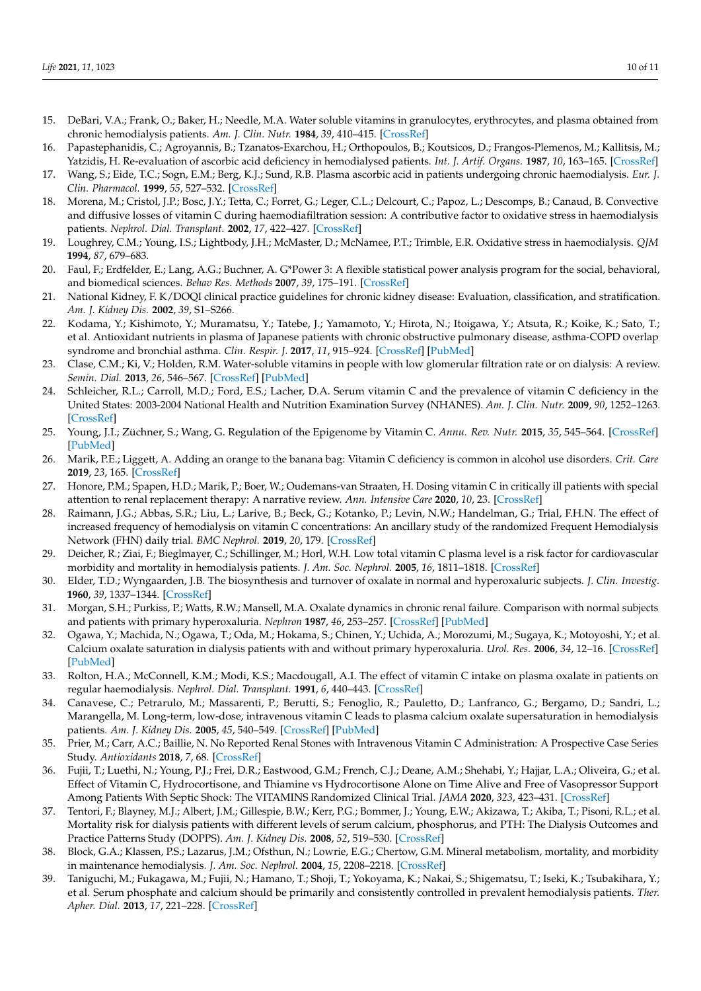- 15. DeBari, V.A.; Frank, O.; Baker, H.; Needle, M.A. Water soluble vitamins in granulocytes, erythrocytes, and plasma obtained from chronic hemodialysis patients. *Am. J. Clin. Nutr.* **1984**, *39*, 410–415. [\[CrossRef\]](http://doi.org/10.1093/ajcn/39.3.410)
- 16. Papastephanidis, C.; Agroyannis, B.; Tzanatos-Exarchou, H.; Orthopoulos, B.; Koutsicos, D.; Frangos-Plemenos, M.; Kallitsis, M.; Yatzidis, H. Re-evaluation of ascorbic acid deficiency in hemodialysed patients. *Int. J. Artif. Organs.* **1987**, *10*, 163–165. [\[CrossRef\]](http://doi.org/10.1177/039139888701000306)
- <span id="page-9-10"></span>17. Wang, S.; Eide, T.C.; Sogn, E.M.; Berg, K.J.; Sund, R.B. Plasma ascorbic acid in patients undergoing chronic haemodialysis. *Eur. J. Clin. Pharmacol.* **1999**, *55*, 527–532. [\[CrossRef\]](http://doi.org/10.1007/s002280050668)
- 18. Morena, M.; Cristol, J.P.; Bosc, J.Y.; Tetta, C.; Forret, G.; Leger, C.L.; Delcourt, C.; Papoz, L.; Descomps, B.; Canaud, B. Convective and diffusive losses of vitamin C during haemodiafiltration session: A contributive factor to oxidative stress in haemodialysis patients. *Nephrol. Dial. Transplant.* **2002**, *17*, 422–427. [\[CrossRef\]](http://doi.org/10.1093/ndt/17.3.422)
- <span id="page-9-0"></span>19. Loughrey, C.M.; Young, I.S.; Lightbody, J.H.; McMaster, D.; McNamee, P.T.; Trimble, E.R. Oxidative stress in haemodialysis. *QJM* **1994**, *87*, 679–683.
- <span id="page-9-1"></span>20. Faul, F.; Erdfelder, E.; Lang, A.G.; Buchner, A. G\*Power 3: A flexible statistical power analysis program for the social, behavioral, and biomedical sciences. *Behav Res. Methods* **2007**, *39*, 175–191. [\[CrossRef\]](http://doi.org/10.3758/BF03193146)
- <span id="page-9-2"></span>21. National Kidney, F. K/DOQI clinical practice guidelines for chronic kidney disease: Evaluation, classification, and stratification. *Am. J. Kidney Dis.* **2002**, *39*, S1–S266.
- <span id="page-9-3"></span>22. Kodama, Y.; Kishimoto, Y.; Muramatsu, Y.; Tatebe, J.; Yamamoto, Y.; Hirota, N.; Itoigawa, Y.; Atsuta, R.; Koike, K.; Sato, T.; et al. Antioxidant nutrients in plasma of Japanese patients with chronic obstructive pulmonary disease, asthma-COPD overlap syndrome and bronchial asthma. *Clin. Respir. J.* **2017**, *11*, 915–924. [\[CrossRef\]](http://doi.org/10.1111/crj.12436) [\[PubMed\]](http://www.ncbi.nlm.nih.gov/pubmed/26667049)
- <span id="page-9-4"></span>23. Clase, C.M.; Ki, V.; Holden, R.M. Water-soluble vitamins in people with low glomerular filtration rate or on dialysis: A review. *Semin. Dial.* **2013**, *26*, 546–567. [\[CrossRef\]](http://doi.org/10.1111/sdi.12099) [\[PubMed\]](http://www.ncbi.nlm.nih.gov/pubmed/23859229)
- <span id="page-9-5"></span>24. Schleicher, R.L.; Carroll, M.D.; Ford, E.S.; Lacher, D.A. Serum vitamin C and the prevalence of vitamin C deficiency in the United States: 2003-2004 National Health and Nutrition Examination Survey (NHANES). *Am. J. Clin. Nutr.* **2009**, *90*, 1252–1263. [\[CrossRef\]](http://doi.org/10.3945/ajcn.2008.27016)
- <span id="page-9-6"></span>25. Young, J.I.; Züchner, S.; Wang, G. Regulation of the Epigenome by Vitamin C. *Annu. Rev. Nutr.* **2015**, *35*, 545–564. [\[CrossRef\]](http://doi.org/10.1146/annurev-nutr-071714-034228) [\[PubMed\]](http://www.ncbi.nlm.nih.gov/pubmed/25974700)
- <span id="page-9-7"></span>26. Marik, P.E.; Liggett, A. Adding an orange to the banana bag: Vitamin C deficiency is common in alcohol use disorders. *Crit. Care* **2019**, *23*, 165. [\[CrossRef\]](http://doi.org/10.1186/s13054-019-2435-4)
- <span id="page-9-8"></span>27. Honore, P.M.; Spapen, H.D.; Marik, P.; Boer, W.; Oudemans-van Straaten, H. Dosing vitamin C in critically ill patients with special attention to renal replacement therapy: A narrative review. *Ann. Intensive Care* **2020**, *10*, 23. [\[CrossRef\]](http://doi.org/10.1186/s13613-020-0640-6)
- <span id="page-9-9"></span>28. Raimann, J.G.; Abbas, S.R.; Liu, L.; Larive, B.; Beck, G.; Kotanko, P.; Levin, N.W.; Handelman, G.; Trial, F.H.N. The effect of increased frequency of hemodialysis on vitamin C concentrations: An ancillary study of the randomized Frequent Hemodialysis Network (FHN) daily trial. *BMC Nephrol.* **2019**, *20*, 179. [\[CrossRef\]](http://doi.org/10.1186/s12882-019-1311-4)
- <span id="page-9-11"></span>29. Deicher, R.; Ziai, F.; Bieglmayer, C.; Schillinger, M.; Horl, W.H. Low total vitamin C plasma level is a risk factor for cardiovascular morbidity and mortality in hemodialysis patients. *J. Am. Soc. Nephrol.* **2005**, *16*, 1811–1818. [\[CrossRef\]](http://doi.org/10.1681/ASN.2004100850)
- <span id="page-9-12"></span>30. Elder, T.D.; Wyngaarden, J.B. The biosynthesis and turnover of oxalate in normal and hyperoxaluric subjects. *J. Clin. Investig.* **1960**, *39*, 1337–1344. [\[CrossRef\]](http://doi.org/10.1172/JCI104151)
- <span id="page-9-13"></span>31. Morgan, S.H.; Purkiss, P.; Watts, R.W.; Mansell, M.A. Oxalate dynamics in chronic renal failure. Comparison with normal subjects and patients with primary hyperoxaluria. *Nephron* **1987**, *46*, 253–257. [\[CrossRef\]](http://doi.org/10.1159/000184364) [\[PubMed\]](http://www.ncbi.nlm.nih.gov/pubmed/3306417)
- <span id="page-9-14"></span>32. Ogawa, Y.; Machida, N.; Ogawa, T.; Oda, M.; Hokama, S.; Chinen, Y.; Uchida, A.; Morozumi, M.; Sugaya, K.; Motoyoshi, Y.; et al. Calcium oxalate saturation in dialysis patients with and without primary hyperoxaluria. *Urol. Res.* **2006**, *34*, 12–16. [\[CrossRef\]](http://doi.org/10.1007/s00240-005-0004-6) [\[PubMed\]](http://www.ncbi.nlm.nih.gov/pubmed/16432691)
- 33. Rolton, H.A.; McConnell, K.M.; Modi, K.S.; Macdougall, A.I. The effect of vitamin C intake on plasma oxalate in patients on regular haemodialysis. *Nephrol. Dial. Transplant.* **1991**, *6*, 440–443. [\[CrossRef\]](http://doi.org/10.1093/ndt/6.6.440)
- <span id="page-9-15"></span>34. Canavese, C.; Petrarulo, M.; Massarenti, P.; Berutti, S.; Fenoglio, R.; Pauletto, D.; Lanfranco, G.; Bergamo, D.; Sandri, L.; Marangella, M. Long-term, low-dose, intravenous vitamin C leads to plasma calcium oxalate supersaturation in hemodialysis patients. *Am. J. Kidney Dis.* **2005**, *45*, 540–549. [\[CrossRef\]](http://doi.org/10.1053/j.ajkd.2004.10.025) [\[PubMed\]](http://www.ncbi.nlm.nih.gov/pubmed/15754276)
- <span id="page-9-16"></span>35. Prier, M.; Carr, A.C.; Baillie, N. No Reported Renal Stones with Intravenous Vitamin C Administration: A Prospective Case Series Study. *Antioxidants* **2018**, *7*, 68. [\[CrossRef\]](http://doi.org/10.3390/antiox7050068)
- <span id="page-9-17"></span>36. Fujii, T.; Luethi, N.; Young, P.J.; Frei, D.R.; Eastwood, G.M.; French, C.J.; Deane, A.M.; Shehabi, Y.; Hajjar, L.A.; Oliveira, G.; et al. Effect of Vitamin C, Hydrocortisone, and Thiamine vs Hydrocortisone Alone on Time Alive and Free of Vasopressor Support Among Patients With Septic Shock: The VITAMINS Randomized Clinical Trial. *JAMA* **2020**, *323*, 423–431. [\[CrossRef\]](http://doi.org/10.1001/jama.2019.22176)
- <span id="page-9-18"></span>37. Tentori, F.; Blayney, M.J.; Albert, J.M.; Gillespie, B.W.; Kerr, P.G.; Bommer, J.; Young, E.W.; Akizawa, T.; Akiba, T.; Pisoni, R.L.; et al. Mortality risk for dialysis patients with different levels of serum calcium, phosphorus, and PTH: The Dialysis Outcomes and Practice Patterns Study (DOPPS). *Am. J. Kidney Dis.* **2008**, *52*, 519–530. [\[CrossRef\]](http://doi.org/10.1053/j.ajkd.2008.03.020)
- 38. Block, G.A.; Klassen, P.S.; Lazarus, J.M.; Ofsthun, N.; Lowrie, E.G.; Chertow, G.M. Mineral metabolism, mortality, and morbidity in maintenance hemodialysis. *J. Am. Soc. Nephrol.* **2004**, *15*, 2208–2218. [\[CrossRef\]](http://doi.org/10.1097/01.ASN.0000133041.27682.A2)
- 39. Taniguchi, M.; Fukagawa, M.; Fujii, N.; Hamano, T.; Shoji, T.; Yokoyama, K.; Nakai, S.; Shigematsu, T.; Iseki, K.; Tsubakihara, Y.; et al. Serum phosphate and calcium should be primarily and consistently controlled in prevalent hemodialysis patients. *Ther. Apher. Dial.* **2013**, *17*, 221–228. [\[CrossRef\]](http://doi.org/10.1111/1744-9987.12030)